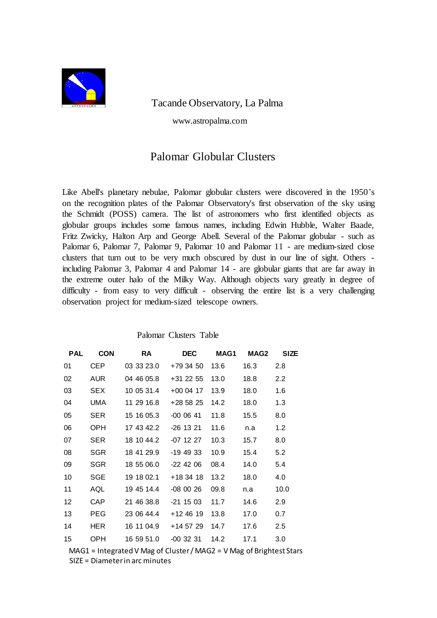

Tacande Observatory, La Palma

www.astropalma.com

## Palomar Globular Clusters

Like Abell's planetary nebulae, Palomar globular clusters were discovered in the 1950's on the recognition plates of the Palomar Observatory's first observation of the sky using the Schmidt (POSS) camera. The list of astronomers who first identified objects as globular groups includes some famous names, including Edwin Hubble, Walter Baade, Fritz Zwicky, Halton Arp and George Abell. Several of the Palomar globular - such as Palomar 6, Palomar 7, Palomar 9, Palomar 10 and Palomar 11 - are medium-sized close clusters that turn out to be very much obscured by dust in our line of sight. Others including Palomar 3, Palomar 4 and Palomar 14 - are globular giants that are far away in the extreme outer halo of the Milky Way. Although objects vary greatly in degree of difficulty - from easy to very difficult - observing the entire list is a very challenging observation project for medium-sized telescope owners.

| <b>PAL</b>        | <b>CON</b> | <b>RA</b>  | <b>DEC</b>  | MAG1 | MAG2 | <b>SIZE</b>      |
|-------------------|------------|------------|-------------|------|------|------------------|
| 01                | CEP.       | 03 33 23.0 | +79 34 50   | 13.6 | 16.3 | 2.8              |
| 02                | <b>AUR</b> | 04 46 05.8 | +31 22 55   | 13.0 | 18.8 | $2.2\phantom{0}$ |
| 03                | SEX.       | 10 05 31.4 | $+000417$   | 13.9 | 18.0 | 1.6              |
| 04                | UMA        | 11 29 16.8 | +28 58 25   | 14.2 | 18.0 | 1.3              |
| 05                | <b>SER</b> | 15 16 05.3 | $-0000641$  | 11.8 | 15.5 | 8.0              |
| 06                | OPH        | 17 43 42.2 | -26 13 21   | 11.6 | n.a  | 1.2              |
| 07                | <b>SER</b> |            | -07 12 27   | 10.3 | 15.7 | 8.0              |
| 08                | <b>SGR</b> | 18 41 29.9 | -19 49 33   | 10.9 | 15.4 | 5.2              |
| 09                | <b>SGR</b> | 18 55 06.0 | $-22$ 42 06 | 08.4 | 14.0 | 5.4              |
| 10                | SGE        | 19 18 02.1 | +18 34 18   | 13.2 | 18.0 | 4.0              |
| 11                | AQL        | 19 45 14.4 | $-080026$   | 09.8 | n.a  | 10.0             |
| $12 \overline{ }$ | <b>CAP</b> | 21 46 38.8 | -21 15 03   | 11.7 | 14.6 | 2.9              |
| 13                | <b>PEG</b> | 23 06 44.4 | $+124619$   | 13.8 | 17.0 | 0.7              |
| 14                | HER        | 16 11 04.9 | +14 57 29   | 14.7 | 17.6 | 2.5              |
| 15                | <b>OPH</b> | 16 59 51.0 | -00 32 31   | 14.2 | 17.1 | 3.0              |

Palomar Clusters Table

MAG1 = Integrated V Mag of Cluster / MAG2 = V Mag of Brightest Stars SIZE = Diameter in arc minutes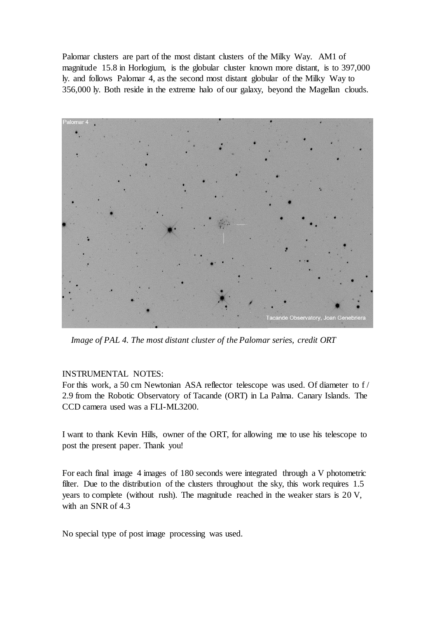Palomar clusters are part of the most distant clusters of the Milky Way. AM1 of magnitude 15.8 in Horlogium, is the globular cluster known more distant, is to 397,000 ly. and follows Palomar 4, as the second most distant globular of the Milky Way to 356,000 ly. Both reside in the extreme halo of our galaxy, beyond the Magellan clouds.



*Image of PAL 4. The most distant cluster of the Palomar series, credit ORT*

## INSTRUMENTAL NOTES:

For this work, a 50 cm Newtonian ASA reflector telescope was used. Of diameter to f 2.9 from the Robotic Observatory of Tacande (ORT) in La Palma. Canary Islands. The CCD camera used was a FLI-ML3200.

I want to thank Kevin Hills, owner of the ORT, for allowing me to use his telescope to post the present paper. Thank you!

For each final image 4 images of 180 seconds were integrated through a V photometric filter. Due to the distribution of the clusters throughout the sky, this work requires 1.5 years to complete (without rush). The magnitude reached in the weaker stars is 20 V, with an SNR of 4.3

No special type of post image processing was used.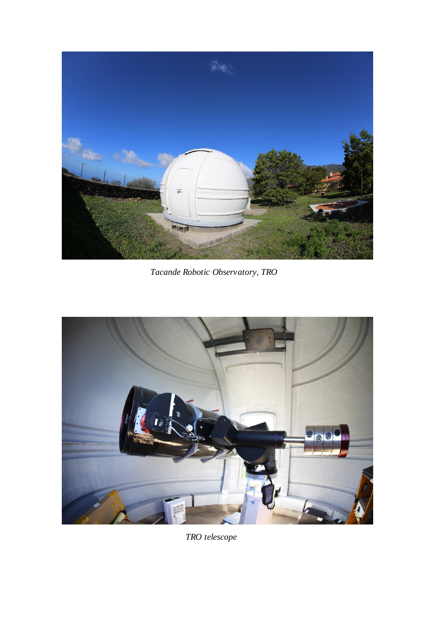

 *Tacande Robotic Observatory, TRO*



 *TRO telescope*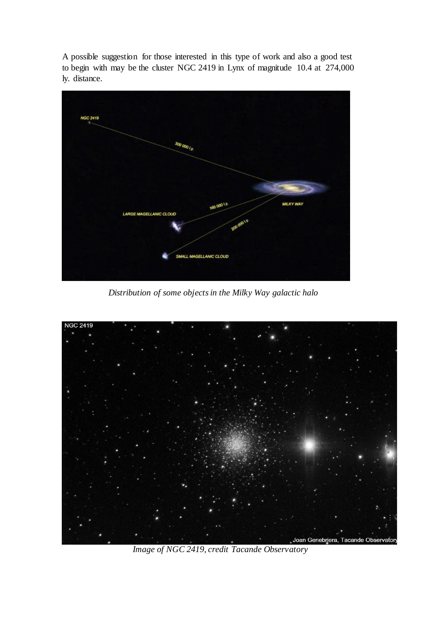A possible suggestion for those interested in this type of work and also a good test to begin with may be the cluster NGC 2419 in Lynx of magnitude 10.4 at 274,000 ly. distance.



 *Distribution of some objects in the Milky Way galactic halo*



 *Image of NGC 2419, credit Tacande Observatory*